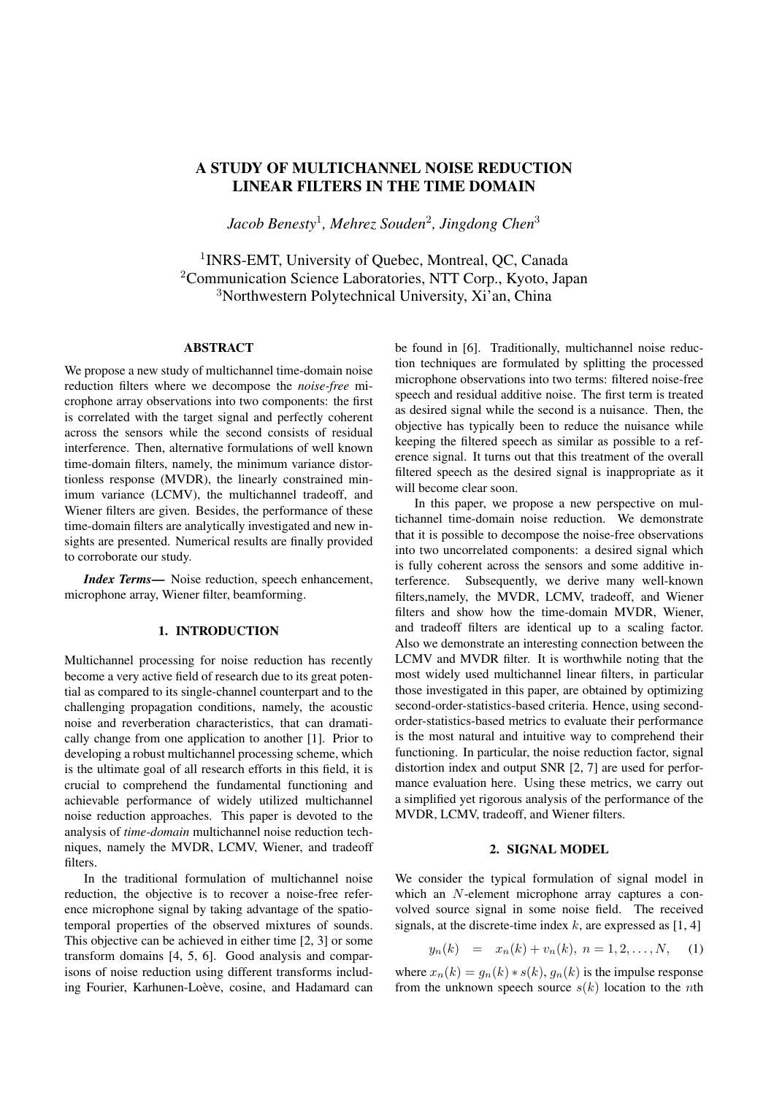# **A STUDY OF MULTICHANNEL NOISE REDUCTION LINEAR FILTERS IN THE TIME DOMAIN**

*Jacob Benesty*<sup>1</sup>*, Mehrez Souden*<sup>2</sup>*, Jingdong Chen*<sup>3</sup>

<sup>1</sup>INRS-EMT, University of Quebec, Montreal, QC, Canada <sup>2</sup>Communication Science Laboratories, NTT Corp., Kyoto, Japan <sup>3</sup>Northwestern Polytechnical University, Xi'an, China

### **ABSTRACT**

We propose a new study of multichannel time-domain noise reduction filters where we decompose the *noise-free* microphone array observations into two components: the first is correlated with the target signal and perfectly coherent across the sensors while the second consists of residual interference. Then, alternative formulations of well known time-domain filters, namely, the minimum variance distortionless response (MVDR), the linearly constrained minimum variance (LCMV), the multichannel tradeoff, and Wiener filters are given. Besides, the performance of these time-domain filters are analytically investigated and new insights are presented. Numerical results are finally provided to corroborate our study.

*Index Terms***—** Noise reduction, speech enhancement, microphone array, Wiener filter, beamforming.

### **1. INTRODUCTION**

Multichannel processing for noise reduction has recently become a very active field of research due to its great potential as compared to its single-channel counterpart and to the challenging propagation conditions, namely, the acoustic noise and reverberation characteristics, that can dramatically change from one application to another [1]. Prior to developing a robust multichannel processing scheme, which is the ultimate goal of all research efforts in this field, it is crucial to comprehend the fundamental functioning and achievable performance of widely utilized multichannel noise reduction approaches. This paper is devoted to the analysis of *time-domain* multichannel noise reduction techniques, namely the MVDR, LCMV, Wiener, and tradeoff filters.

In the traditional formulation of multichannel noise reduction, the objective is to recover a noise-free reference microphone signal by taking advantage of the spatiotemporal properties of the observed mixtures of sounds. This objective can be achieved in either time [2, 3] or some transform domains [4, 5, 6]. Good analysis and comparisons of noise reduction using different transforms including Fourier, Karhunen-Loève, cosine, and Hadamard can be found in [6]. Traditionally, multichannel noise reduction techniques are formulated by splitting the processed microphone observations into two terms: filtered noise-free speech and residual additive noise. The first term is treated as desired signal while the second is a nuisance. Then, the objective has typically been to reduce the nuisance while keeping the filtered speech as similar as possible to a reference signal. It turns out that this treatment of the overall filtered speech as the desired signal is inappropriate as it will become clear soon.

In this paper, we propose a new perspective on multichannel time-domain noise reduction. We demonstrate that it is possible to decompose the noise-free observations into two uncorrelated components: a desired signal which is fully coherent across the sensors and some additive interference. Subsequently, we derive many well-known filters,namely, the MVDR, LCMV, tradeoff, and Wiener filters and show how the time-domain MVDR, Wiener, and tradeoff filters are identical up to a scaling factor. Also we demonstrate an interesting connection between the LCMV and MVDR filter. It is worthwhile noting that the most widely used multichannel linear filters, in particular those investigated in this paper, are obtained by optimizing second-order-statistics-based criteria. Hence, using secondorder-statistics-based metrics to evaluate their performance is the most natural and intuitive way to comprehend their functioning. In particular, the noise reduction factor, signal distortion index and output SNR [2, 7] are used for performance evaluation here. Using these metrics, we carry out a simplified yet rigorous analysis of the performance of the MVDR, LCMV, tradeoff, and Wiener filters.

#### **2. SIGNAL MODEL**

We consider the typical formulation of signal model in which an  $N$ -element microphone array captures a convolved source signal in some noise field. The received signals, at the discrete-time index  $k$ , are expressed as [1, 4]

$$
y_n(k) = x_n(k) + v_n(k), \ n = 1, 2, \dots, N, \quad (1)
$$

where  $x_n(k) = g_n(k) * s(k), g_n(k)$  is the impulse response from the unknown speech source  $s(k)$  location to the *n*th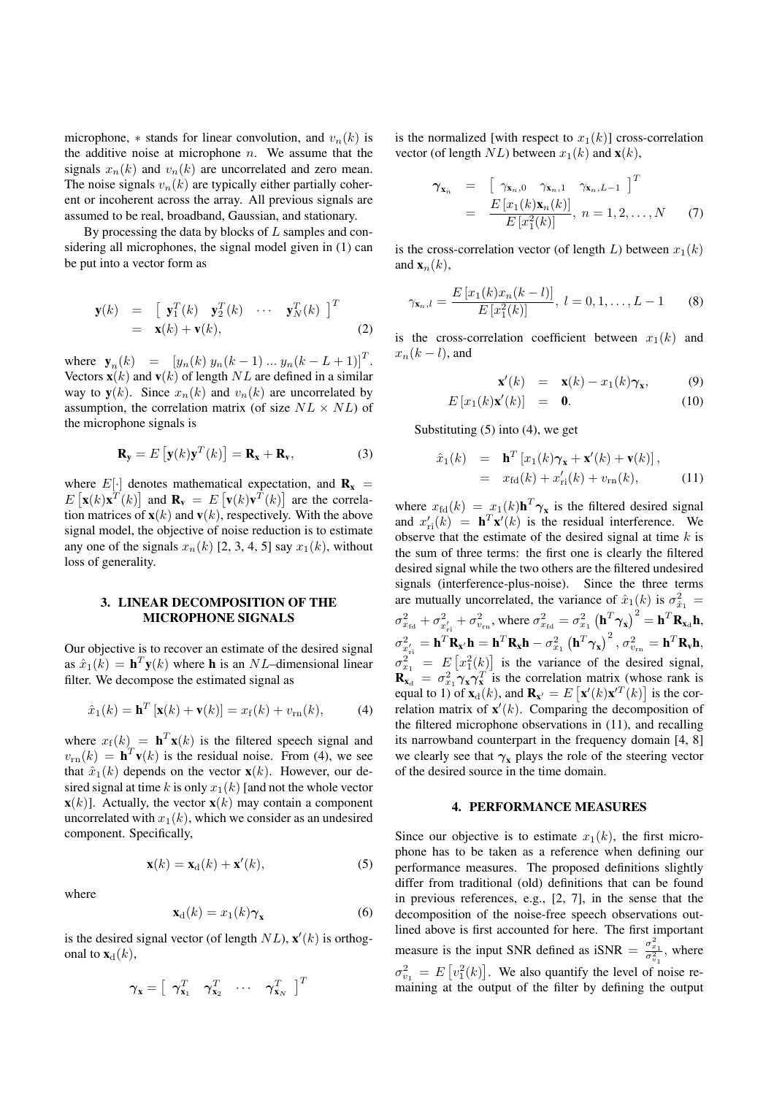microphone,  $*$  stands for linear convolution, and  $v_n(k)$  is the additive noise at microphone  $n$ . We assume that the signals  $x_n(k)$  and  $v_n(k)$  are uncorrelated and zero mean. The noise signals  $v_n(k)$  are typically either partially coherent or incoherent across the array. All previous signals are assumed to be real, broadband, Gaussian, and stationary.

By processing the data by blocks of  $L$  samples and considering all microphones, the signal model given in (1) can be put into a vector form as

$$
\mathbf{y}(k) = \begin{bmatrix} \mathbf{y}_1^T(k) & \mathbf{y}_2^T(k) & \cdots & \mathbf{y}_N^T(k) \end{bmatrix}^T
$$
  
=  $\mathbf{x}(k) + \mathbf{v}(k)$ , (2)

where  $\mathbf{y}_n(k) = [y_n(k) y_n(k-1) ... y_n(k-L+1)]^T$ . Vectors  $\mathbf{x}(k)$  and  $\mathbf{v}(k)$  of length NL are defined in a similar way to  $y(k)$ . Since  $x_n(k)$  and  $v_n(k)$  are uncorrelated by assumption, the correlation matrix (of size  $NL \times NL$ ) of the microphone signals is

$$
\mathbf{R}_{\mathbf{y}} = E\left[\mathbf{y}(k)\mathbf{y}^T(k)\right] = \mathbf{R}_{\mathbf{x}} + \mathbf{R}_{\mathbf{v}},\tag{3}
$$

where  $E[\cdot]$  denotes mathematical expectation, and  $\mathbf{R}_{\mathbf{x}} =$  $E[\mathbf{x}(k)\mathbf{x}^T(k)]$  and  $\mathbf{R}_{\mathbf{v}} = E[\mathbf{v}(k)\mathbf{v}^T(k)]$  are the correlation matrices of  $\mathbf{x}(k)$  and  $\mathbf{v}(k)$ , respectively. With the above signal model, the objective of noise reduction is to estimate any one of the signals  $x_n(k)$  [2, 3, 4, 5] say  $x_1(k)$ , without loss of generality.

### **3. LINEAR DECOMPOSITION OF THE MICROPHONE SIGNALS**

Our objective is to recover an estimate of the desired signal as  $\hat{x}_1(k) = \mathbf{h}^T \mathbf{y}(k)$  where **h** is an *NL*-dimensional linear filter. We decompose the estimated signal as

$$
\hat{x}_1(k) = \mathbf{h}^T \left[ \mathbf{x}(k) + \mathbf{v}(k) \right] = x_f(k) + v_{\rm rn}(k),\tag{4}
$$

where  $x_f(k) = \mathbf{h}^T \mathbf{x}(k)$  is the filtered speech signal and  $v_{\rm rn}(k) = \mathbf{h}^T \mathbf{v}(k)$  is the residual noise. From (4), we see that  $\hat{x}_1(k)$  depends on the vector  $\mathbf{x}(k)$ . However, our desired signal at time k is only  $x_1(k)$  [and not the whole vector  $\mathbf{x}(k)$ ]. Actually, the vector  $\mathbf{x}(k)$  may contain a component uncorrelated with  $x_1(k)$ , which we consider as an undesired component. Specifically,

$$
\mathbf{x}(k) = \mathbf{x}_{\mathrm{d}}(k) + \mathbf{x}'(k),\tag{5}
$$

where

$$
\mathbf{x}_{\mathrm{d}}(k) = x_1(k)\boldsymbol{\gamma}_{\mathbf{x}} \tag{6}
$$

is the desired signal vector (of length  $NL$ ),  $\mathbf{x}'(k)$  is orthogonal to  $\mathbf{x}_{d}(k)$ ,

$$
\boldsymbol{\gamma}_{\mathbf{x}}=\left[\begin{array}{cccc} \boldsymbol{\gamma}_{\mathbf{x}_1}^T & \boldsymbol{\gamma}_{\mathbf{x}_2}^T & \cdots & \boldsymbol{\gamma}_{\mathbf{x}_N}^T \end{array}\right]^T
$$

is the normalized [with respect to  $x_1(k)$ ] cross-correlation vector (of length  $NL$ ) between  $x_1(k)$  and  $\mathbf{x}(k)$ ,

$$
\gamma_{\mathbf{x}_n} = \begin{bmatrix} \gamma_{\mathbf{x}_n,0} & \gamma_{\mathbf{x}_n,1} & \gamma_{\mathbf{x}_n,L-1} \end{bmatrix}^T
$$

$$
= \frac{E\left[x_1(k)\mathbf{x}_n(k)\right]}{E\left[x_1^2(k)\right]}, n = 1,2,\ldots,N \quad (7)
$$

is the cross-correlation vector (of length L) between  $x_1(k)$ and  $\mathbf{x}_n(k)$ ,

$$
\gamma_{\mathbf{x}_n,l} = \frac{E\left[x_1(k)x_n(k-l)\right]}{E\left[x_1^2(k)\right]}, \ l = 0, 1, \dots, L-1 \qquad (8)
$$

is the cross-correlation coefficient between  $x_1(k)$  and  $x_n(k-l)$ , and

$$
\mathbf{x}'(k) = \mathbf{x}(k) - x_1(k)\boldsymbol{\gamma}_\mathbf{x}, \tag{9}
$$

$$
E\left[x_1(k)\mathbf{x}'(k)\right] = \mathbf{0}.\tag{10}
$$

Substituting (5) into (4), we get

$$
\hat{x}_1(k) = \mathbf{h}^T \left[ x_1(k)\boldsymbol{\gamma}_x + \mathbf{x}'(k) + \mathbf{v}(k) \right],
$$
  
= 
$$
x_{\text{fd}}(k) + x'_{\text{ri}}(k) + v_{\text{rn}}(k),
$$
 (11)

where  $x_{\text{fd}}(k) = x_1(k)\mathbf{h}^T \boldsymbol{\gamma}_x$  is the filtered desired signal and  $x'_{ri}(k) = \mathbf{h}^T \mathbf{x}'(k)$  is the residual interference. We observe that the estimate of the desired signal at time  $k$  is the sum of three terms: the first one is clearly the filtered desired signal while the two others are the filtered undesired signals (interference-plus-noise). Since the three terms are mutually uncorrelated, the variance of  $\hat{x}_1(k)$  is  $\sigma_{\hat{x}_1}^2 =$  $\sigma_{x_{\text{fd}}}^2 + \sigma_{x_{\text{ri}}}^2 + \sigma_{v_{\text{rn}}}^2$ , where  $\sigma_{x_{\text{fd}}}^2 = \sigma_{x_1}^2 \left(\mathbf{h}^T \boldsymbol{\gamma}_{\mathbf{x}}\right)^2 = \mathbf{h}^T \mathbf{R}_{\mathbf{x}_{\text{d}}} \mathbf{h}$ ,  $\sigma_{x_{\rm ri}}^2 = \mathbf{h}^T \mathbf{R}_{\mathbf{x'}} \mathbf{h} = \mathbf{h}^T \mathbf{R}_{\mathbf{x}} \mathbf{h} - \sigma_{x_1}^2 \left( \mathbf{h}^T \boldsymbol{\gamma}_{\mathbf{x}} \right)^2, \sigma_{v_{\rm rn}}^2 = \mathbf{h}^T \mathbf{R}_{\mathbf{v}} \mathbf{h},$  $\sigma_{x_1}^2 = E[x_1^2(k)]$  is the variance of the desired signal,  $\mathbf{R}_{\mathbf{x}_{d}} = \sigma_{x_1}^2 \gamma_{\mathbf{x}} \gamma_{\mathbf{x}}^T$  is the correlation matrix (whose rank is equal to 1) of  $\mathbf{x}_{d}(k)$ , and  $\mathbf{R}_{\mathbf{x}'} = E\left[\mathbf{x}'(k)\mathbf{x}'^{T}(k)\right]$  is the correlation matrix of  $\mathbf{x}'(k)$ . Comparing the decomposition of the filtered microphone observations in (11), and recalling its narrowband counterpart in the frequency domain [4, 8] we clearly see that  $\gamma_x$  plays the role of the steering vector of the desired source in the time domain.

#### **4. PERFORMANCE MEASURES**

Since our objective is to estimate  $x_1(k)$ , the first microphone has to be taken as a reference when defining our performance measures. The proposed definitions slightly differ from traditional (old) definitions that can be found in previous references, e.g., [2, 7], in the sense that the decomposition of the noise-free speech observations outlined above is first accounted for here. The first important measure is the input SNR defined as  $iSNR = \frac{\sigma_{x_1}^2}{\sigma_{y_1}^2}$ , where  $\sigma_{v_1}^2 = E[v_1^2(k)]$ . We also quantify the level of noise remaining at the output of the filter by defining the output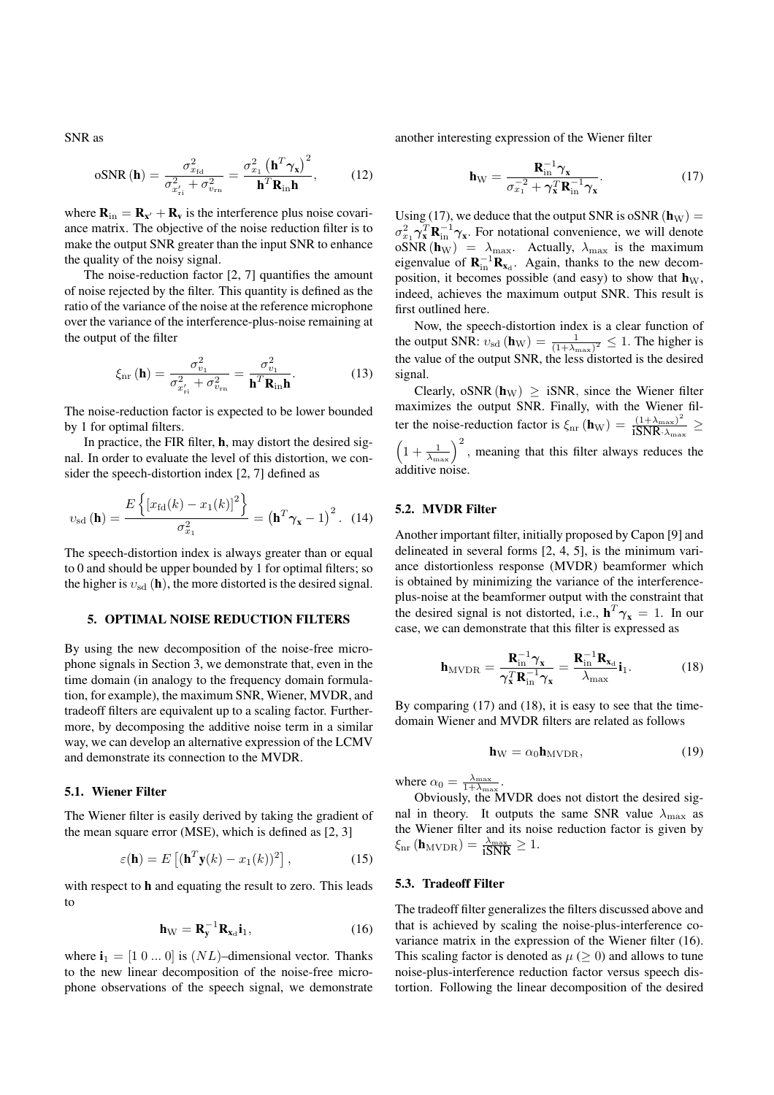SNR as

$$
\text{oSNR}(\mathbf{h}) = \frac{\sigma_{x_{\text{fd}}}^2}{\sigma_{x_{\text{ri}}}^2 + \sigma_{v_{\text{rn}}}^2} = \frac{\sigma_{x_1}^2 (\mathbf{h}^T \boldsymbol{\gamma}_\mathbf{x})^2}{\mathbf{h}^T \mathbf{R}_{\text{in}} \mathbf{h}},\tag{12}
$$

where  $\mathbf{R}_{\text{in}} = \mathbf{R}_{\text{x}'} + \mathbf{R}_{\text{v}}$  is the interference plus noise covariance matrix. The objective of the noise reduction filter is to make the output SNR greater than the input SNR to enhance the quality of the noisy signal.

The noise-reduction factor [2, 7] quantifies the amount of noise rejected by the filter. This quantity is defined as the ratio of the variance of the noise at the reference microphone over the variance of the interference-plus-noise remaining at the output of the filter

$$
\xi_{\rm nr}(\mathbf{h}) = \frac{\sigma_{v_1}^2}{\sigma_{x_{\rm ri}}^2 + \sigma_{v_{\rm rn}}^2} = \frac{\sigma_{v_1}^2}{\mathbf{h}^T \mathbf{R}_{\rm in} \mathbf{h}}.\tag{13}
$$

The noise-reduction factor is expected to be lower bounded by 1 for optimal filters.

In practice, the FIR filter, **h**, may distort the desired signal. In order to evaluate the level of this distortion, we consider the speech-distortion index [2, 7] defined as

$$
v_{\rm sd}(\mathbf{h}) = \frac{E\left\{ \left[ x_{\rm fd}(k) - x_1(k) \right]^2 \right\}}{\sigma_{x_1}^2} = \left( \mathbf{h}^T \boldsymbol{\gamma}_x - 1 \right)^2. \tag{14}
$$

The speech-distortion index is always greater than or equal to 0 and should be upper bounded by 1 for optimal filters; so the higher is  $v_{sd}$  (**h**), the more distorted is the desired signal.

#### **5. OPTIMAL NOISE REDUCTION FILTERS**

By using the new decomposition of the noise-free microphone signals in Section 3, we demonstrate that, even in the time domain (in analogy to the frequency domain formulation, for example), the maximum SNR, Wiener, MVDR, and tradeoff filters are equivalent up to a scaling factor. Furthermore, by decomposing the additive noise term in a similar way, we can develop an alternative expression of the LCMV and demonstrate its connection to the MVDR.

#### **5.1. Wiener Filter**

The Wiener filter is easily derived by taking the gradient of the mean square error (MSE), which is defined as [2, 3]

$$
\varepsilon(\mathbf{h}) = E\left[ (\mathbf{h}^T \mathbf{y}(k) - x_1(k))^2 \right],\tag{15}
$$

with respect to **h** and equating the result to zero. This leads to

$$
\mathbf{h}_{\mathrm{W}} = \mathbf{R}_{\mathrm{y}}^{-1} \mathbf{R}_{\mathrm{x}_{\mathrm{d}}} \mathbf{i}_{1},\tag{16}
$$

where  $\mathbf{i}_1 = [1 \ 0 \dots 0]$  is  $(NL)$ –dimensional vector. Thanks to the new linear decomposition of the noise-free microphone observations of the speech signal, we demonstrate another interesting expression of the Wiener filter

$$
\mathbf{h}_{\mathrm{W}} = \frac{\mathbf{R}_{\mathrm{in}}^{-1} \boldsymbol{\gamma}_{\mathrm{x}}}{\sigma_{x_1}^{-2} + \boldsymbol{\gamma}_{\mathrm{x}}^T \mathbf{R}_{\mathrm{in}}^{-1} \boldsymbol{\gamma}_{\mathrm{x}}}.
$$
 (17)

Using (17), we deduce that the output SNR is oSNR  $(\mathbf{h}_W)$  =  $\sigma_{x_1}^2 \gamma_{\mathbf{x}}^T \mathbf{R}_{\text{in}}^{-1} \gamma_{\mathbf{x}}$ . For notational convenience, we will denote  $\text{oSNR}(\mathbf{h}_{\text{W}}) = \lambda_{\text{max}}$ . Actually,  $\lambda_{\text{max}}$  is the maximum eigenvalue of  $\mathbf{R}_{\text{in}}^{-1} \mathbf{R}_{\text{x}_{d}}$ . Again, thanks to the new decomposition, it becomes possible (and easy) to show that  $\mathbf{h}_{\mathrm{W}}$ , indeed, achieves the maximum output SNR. This result is first outlined here.

Now, the speech-distortion index is a clear function of the output SNR:  $v_{sd}$  ( $\mathbf{h}_{W}$ ) =  $\frac{1}{(1+\lambda_{max})^2} \leq 1$ . The higher is the value of the output SNR, the less distorted is the desired signal.

Clearly,  $\text{oSNR}(\mathbf{h}_W) > \text{iSNR}$ , since the Wiener filter maximizes the output SNR. Finally, with the Wiener filter the noise-reduction factor is  $\xi_{\text{nr}}(\mathbf{h}_{\text{W}}) = \frac{(1+\lambda_{\text{max}})^2}{i\text{SNR}\cdot\lambda_{\text{max}}} \ge$  $\left(1+\frac{1}{\lambda_{\max}}\right)^2$ , meaning that this filter always reduces the additive noise.

## **5.2. MVDR Filter**

Another important filter, initially proposed by Capon [9] and delineated in several forms [2, 4, 5], is the minimum variance distortionless response (MVDR) beamformer which is obtained by minimizing the variance of the interferenceplus-noise at the beamformer output with the constraint that the desired signal is not distorted, i.e.,  $\mathbf{h}^T \gamma_{\mathbf{x}} = 1$ . In our case, we can demonstrate that this filter is expressed as

$$
\mathbf{h}_{\text{MVDR}} = \frac{\mathbf{R}_{\text{in}}^{-1} \boldsymbol{\gamma}_{\mathbf{x}}}{\boldsymbol{\gamma}_{\mathbf{x}}^T \mathbf{R}_{\text{in}}^{-1} \boldsymbol{\gamma}_{\mathbf{x}}} = \frac{\mathbf{R}_{\text{in}}^{-1} \mathbf{R}_{\mathbf{x}_{\text{d}}}}{\lambda_{\text{max}}} \mathbf{i}_1. \tag{18}
$$

By comparing (17) and (18), it is easy to see that the timedomain Wiener and MVDR filters are related as follows

$$
\mathbf{h}_{\mathrm{W}} = \alpha_0 \mathbf{h}_{\mathrm{MVDR}},\tag{19}
$$

where  $\alpha_0 = \frac{\lambda_{\text{max}}}{1 + \lambda_{\text{max}}}$ .

Obviously, the MVDR does not distort the desired signal in theory. It outputs the same SNR value  $\lambda_{\text{max}}$  as the Wiener filter and its noise reduction factor is given by  $\xi_{\text{nr}}(\mathbf{h}_{\text{MVDR}}) = \frac{\lambda_{\text{max}}}{\text{iSNR}} \geq 1.$ 

### **5.3. Tradeoff Filter**

The tradeoff filter generalizes the filters discussed above and that is achieved by scaling the noise-plus-interference covariance matrix in the expression of the Wiener filter (16). This scaling factor is denoted as  $\mu$  ( $\geq$  0) and allows to tune noise-plus-interference reduction factor versus speech distortion. Following the linear decomposition of the desired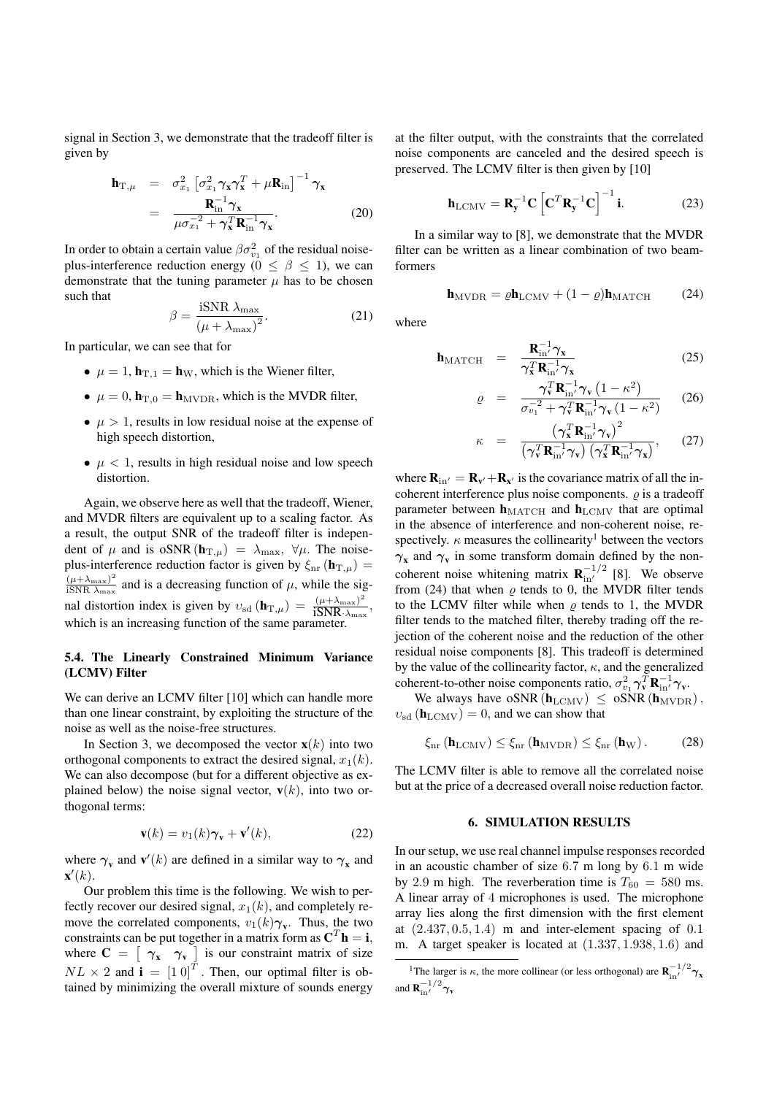signal in Section 3, we demonstrate that the tradeoff filter is given by

$$
\mathbf{h}_{\mathrm{T},\mu} = \sigma_{x_1}^2 \left[ \sigma_{x_1}^2 \gamma_{\mathbf{x}} \gamma_{\mathbf{x}}^T + \mu \mathbf{R}_{\mathrm{in}} \right]^{-1} \gamma_{\mathbf{x}}
$$

$$
= \frac{\mathbf{R}_{\mathrm{in}}^{-1} \gamma_{\mathbf{x}}}{\mu \sigma_{x_1}^{-2} + \gamma_{\mathbf{x}}^T \mathbf{R}_{\mathrm{in}}^{-1} \gamma_{\mathbf{x}}}.
$$
(20)

In order to obtain a certain value  $\beta \sigma_{v_1}^2$  of the residual noiseplus-interference reduction energy  $(0 < \beta < 1)$ , we can demonstrate that the tuning parameter  $\mu$  has to be chosen such that

$$
\beta = \frac{\text{iSNR } \lambda_{\text{max}}}{\left(\mu + \lambda_{\text{max}}\right)^2}.
$$
\n(21)

In particular, we can see that for

- $\mu = 1$ ,  $\mathbf{h}_{T,1} = \mathbf{h}_W$ , which is the Wiener filter,
- $\bullet \ \mu = 0$ ,  $\mathbf{h}_{\text{T,0}} = \mathbf{h}_{\text{MVDR}}$ , which is the MVDR filter,
- $\mu > 1$ , results in low residual noise at the expense of high speech distortion,
- $\mu$  < 1, results in high residual noise and low speech distortion.

Again, we observe here as well that the tradeoff, Wiener, and MVDR filters are equivalent up to a scaling factor. As a result, the output SNR of the tradeoff filter is independent of  $\mu$  and is oSNR ( $\mathbf{h}_{\mathrm{T},\mu}$ ) =  $\lambda_{\mathrm{max}}$ ,  $\forall \mu$ . The noiseplus-interference reduction factor is given by  $\xi_{\text{nr}} (\mathbf{h}_{\text{T},\mu}) =$  $\frac{(\mu + \lambda_{\text{max}})^2}{i \text{SNR } \lambda_{\text{max}}}$  and is a decreasing function of  $\mu$ , while the signal distortion index is given by  $v_{\rm sd}(\mathbf{h}_{\rm T,\mu}) = \frac{(\mu + \lambda_{\rm max})^2}{\rm iSNR \cdot \lambda_{\rm max}}$ , which is an increasing function of the same parameter.

### **5.4. The Linearly Constrained Minimum Variance (LCMV) Filter**

We can derive an LCMV filter [10] which can handle more than one linear constraint, by exploiting the structure of the noise as well as the noise-free structures.

In Section 3, we decomposed the vector  $\mathbf{x}(k)$  into two orthogonal components to extract the desired signal,  $x_1(k)$ . We can also decompose (but for a different objective as explained below) the noise signal vector,  $\mathbf{v}(k)$ , into two orthogonal terms:

$$
\mathbf{v}(k) = v_1(k)\boldsymbol{\gamma}_\mathbf{v} + \mathbf{v}'(k),\tag{22}
$$

where  $\gamma_{\mathbf{v}}$  and  $\mathbf{v}'(k)$  are defined in a similar way to  $\gamma_{\mathbf{x}}$  and  $\mathbf{x}'(k)$ .

Our problem this time is the following. We wish to perfectly recover our desired signal,  $x_1(k)$ , and completely remove the correlated components,  $v_1(k)\gamma_v$ . Thus, the two constraints can be put together in a matrix form as  $C^{T}$ **h** = **i**, where  $C = [\gamma_x \gamma_y]$  is our constraint matrix of size  $NL \times 2$  and **i** =  $\begin{bmatrix} 1 & 0 \end{bmatrix}^T$ . Then, our optimal filter is obtained by minimizing the overall mixture of sounds energy

at the filter output, with the constraints that the correlated noise components are canceled and the desired speech is preserved. The LCMV filter is then given by [10]

$$
\mathbf{h}_{\text{LCMV}} = \mathbf{R}_{\mathbf{y}}^{-1} \mathbf{C} \left[ \mathbf{C}^T \mathbf{R}_{\mathbf{y}}^{-1} \mathbf{C} \right]^{-1} \mathbf{i}.
$$
 (23)

In a similar way to [8], we demonstrate that the MVDR filter can be written as a linear combination of two beamformers

$$
\mathbf{h}_{\text{MVDR}} = \varrho \mathbf{h}_{\text{LCMV}} + (1 - \varrho) \mathbf{h}_{\text{MATCH}} \tag{24}
$$

where

$$
\mathbf{h}_{\text{MATCH}} = \frac{\mathbf{R}_{\text{in}}^{-1} \boldsymbol{\gamma}_{\mathbf{x}}}{\boldsymbol{\gamma}_{\mathbf{x}}^T \mathbf{R}_{\text{in}}^{-1} \boldsymbol{\gamma}_{\mathbf{x}}} \tag{25}
$$

$$
\varrho = \frac{\gamma_v^T \mathbf{R}_{\text{in}}^{-1} \gamma_v \left(1 - \kappa^2\right)}{\sigma_{v_1}^{-2} + \gamma_v^T \mathbf{R}_{\text{in}}^{-1} \gamma_v \left(1 - \kappa^2\right)} \tag{26}
$$

$$
\kappa = \frac{\left(\boldsymbol{\gamma}_{\mathbf{x}}^T \mathbf{R}_{\text{in}'}^{-1} \boldsymbol{\gamma}_{\mathbf{v}}\right)^2}{\left(\boldsymbol{\gamma}_{\mathbf{v}}^T \mathbf{R}_{\text{in}'}^{-1} \boldsymbol{\gamma}_{\mathbf{v}}\right) \left(\boldsymbol{\gamma}_{\mathbf{x}}^T \mathbf{R}_{\text{in}'}^{-1} \boldsymbol{\gamma}_{\mathbf{x}}\right)},\qquad(27)
$$

where  $\mathbf{R}_{in'} = \mathbf{R}_{v'} + \mathbf{R}_{x'}$  is the covariance matrix of all the incoherent interference plus noise components.  $\rho$  is a tradeoff parameter between  $h_{\text{MATCH}}$  and  $h_{\text{LCMV}}$  that are optimal in the absence of interference and non-coherent noise, respectively.  $\kappa$  measures the collinearity<sup>1</sup> between the vectors  $\gamma_x$  and  $\gamma_y$  in some transform domain defined by the noncoherent noise whitening matrix  $\mathbf{R}_{\text{in}'}^{-1/2}$  [8]. We observe from (24) that when  $\rho$  tends to 0, the MVDR filter tends to the LCMV filter while when  $\rho$  tends to 1, the MVDR filter tends to the matched filter, thereby trading off the rejection of the coherent noise and the reduction of the other residual noise components [8]. This tradeoff is determined by the value of the collinearity factor,  $\kappa$ , and the generalized coherent-to-other noise components ratio,  $\sigma_{v_1}^2 \gamma_{\mathbf{v}}^T \mathbf{R}_{\text{in}}^{-1} \gamma_{\mathbf{v}}$ .

We always have  $oSNR(h_{\text{LCMV}}) \leq oSNR(h_{\text{MVDR}})$ ,  $v_{\rm sd}$  ( $\mathbf{h}_{\rm LCMV}$ ) = 0, and we can show that

$$
\xi_{\rm nr}(\mathbf{h}_{\rm LCMV}) \leq \xi_{\rm nr}(\mathbf{h}_{\rm MVDR}) \leq \xi_{\rm nr}(\mathbf{h}_{\rm W}). \tag{28}
$$

The LCMV filter is able to remove all the correlated noise but at the price of a decreased overall noise reduction factor.

#### **6. SIMULATION RESULTS**

In our setup, we use real channel impulse responses recorded in an acoustic chamber of size 6.7 m long by 6.1 m wide by 2.9 m high. The reverberation time is  $T_{60} = 580$  ms. A linear array of 4 microphones is used. The microphone array lies along the first dimension with the first element at  $(2.437, 0.5, 1.4)$  m and inter-element spacing of 0.1 m. A target speaker is located at (1.337, 1.938, 1.6) and

<sup>&</sup>lt;sup>1</sup>The larger is  $\kappa$ , the more collinear (or less orthogonal) are  $\mathbf{R}_{\text{in}}^{-1/2} \gamma_{\text{x}}$ and  $\mathbf{R}_{\text{in}'}^{-1/2} \gamma_{\text{v}}$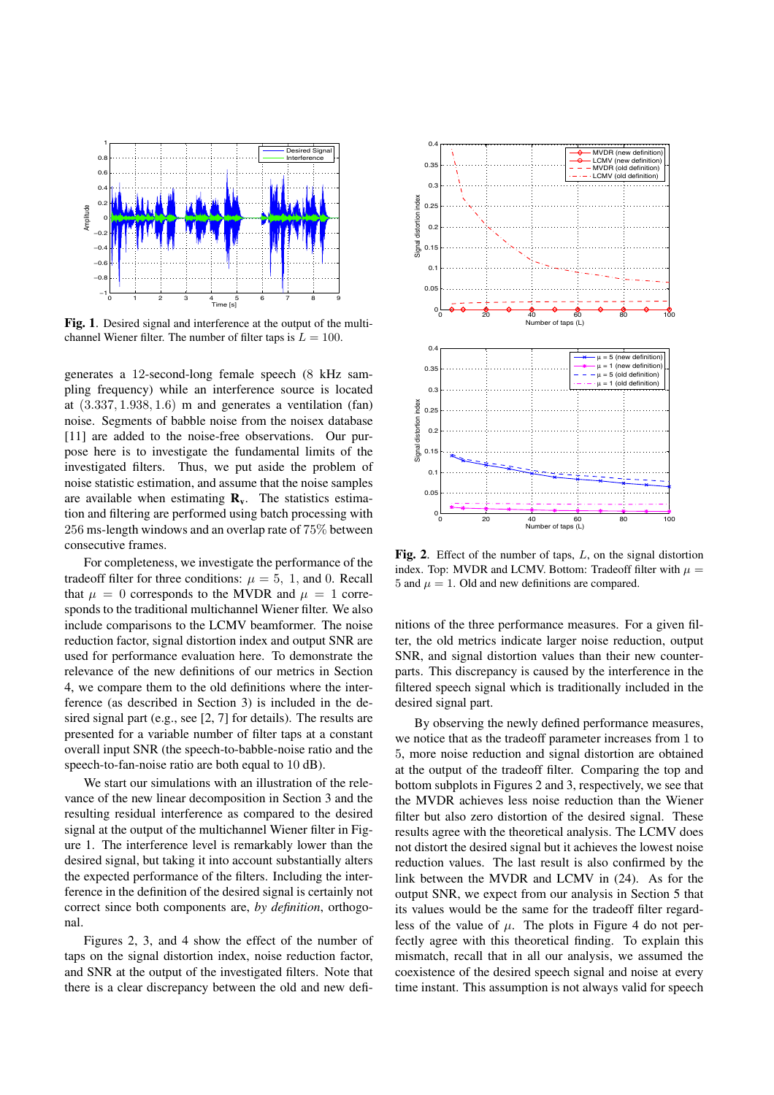

**Fig. 1**. Desired signal and interference at the output of the multichannel Wiener filter. The number of filter taps is  $L = 100$ .

generates a 12-second-long female speech (8 kHz sampling frequency) while an interference source is located at  $(3.337, 1.938, 1.6)$  m and generates a ventilation (fan) noise. Segments of babble noise from the noisex database [11] are added to the noise-free observations. Our purpose here is to investigate the fundamental limits of the investigated filters. Thus, we put aside the problem of noise statistic estimation, and assume that the noise samples are available when estimating  $\mathbf{R}_{\mathbf{v}}$ . The statistics estimation and filtering are performed using batch processing with 256 ms-length windows and an overlap rate of 75% between consecutive frames.

For completeness, we investigate the performance of the tradeoff filter for three conditions:  $\mu = 5$ , 1, and 0. Recall that  $\mu = 0$  corresponds to the MVDR and  $\mu = 1$  corresponds to the traditional multichannel Wiener filter. We also include comparisons to the LCMV beamformer. The noise reduction factor, signal distortion index and output SNR are used for performance evaluation here. To demonstrate the relevance of the new definitions of our metrics in Section 4, we compare them to the old definitions where the interference (as described in Section 3) is included in the desired signal part (e.g., see [2, 7] for details). The results are presented for a variable number of filter taps at a constant overall input SNR (the speech-to-babble-noise ratio and the speech-to-fan-noise ratio are both equal to 10 dB).

We start our simulations with an illustration of the relevance of the new linear decomposition in Section 3 and the resulting residual interference as compared to the desired signal at the output of the multichannel Wiener filter in Figure 1. The interference level is remarkably lower than the desired signal, but taking it into account substantially alters the expected performance of the filters. Including the interference in the definition of the desired signal is certainly not correct since both components are, *by definition*, orthogonal.

Figures 2, 3, and 4 show the effect of the number of taps on the signal distortion index, noise reduction factor, and SNR at the output of the investigated filters. Note that there is a clear discrepancy between the old and new defi-



**Fig. 2.** Effect of the number of taps,  $L$ , on the signal distortion index. Top: MVDR and LCMV. Bottom: Tradeoff filter with  $\mu =$ 5 and  $\mu = 1$ . Old and new definitions are compared.

nitions of the three performance measures. For a given filter, the old metrics indicate larger noise reduction, output SNR, and signal distortion values than their new counterparts. This discrepancy is caused by the interference in the filtered speech signal which is traditionally included in the desired signal part.

By observing the newly defined performance measures, we notice that as the tradeoff parameter increases from 1 to 5, more noise reduction and signal distortion are obtained at the output of the tradeoff filter. Comparing the top and bottom subplots in Figures 2 and 3, respectively, we see that the MVDR achieves less noise reduction than the Wiener filter but also zero distortion of the desired signal. These results agree with the theoretical analysis. The LCMV does not distort the desired signal but it achieves the lowest noise reduction values. The last result is also confirmed by the link between the MVDR and LCMV in (24). As for the output SNR, we expect from our analysis in Section 5 that its values would be the same for the tradeoff filter regardless of the value of  $\mu$ . The plots in Figure 4 do not perfectly agree with this theoretical finding. To explain this mismatch, recall that in all our analysis, we assumed the coexistence of the desired speech signal and noise at every time instant. This assumption is not always valid for speech